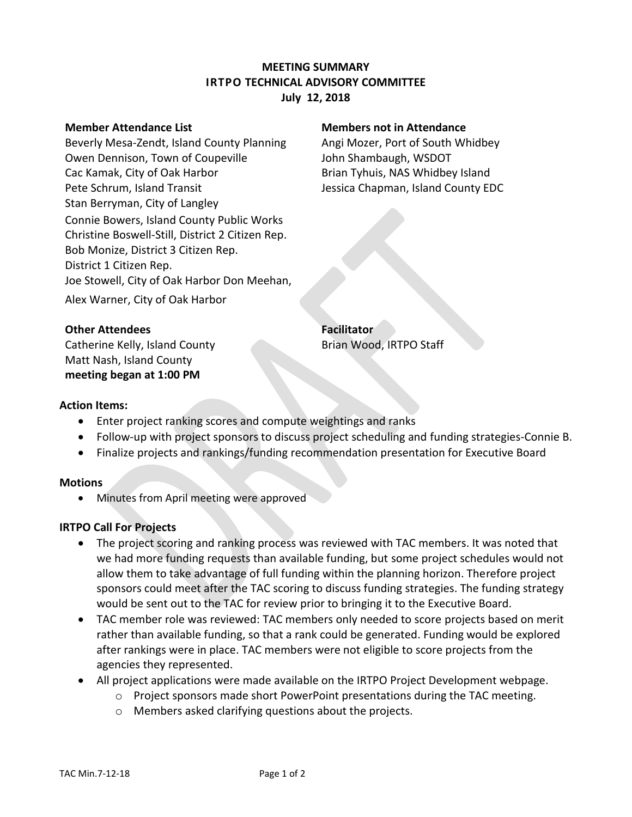# **MEETING SUMMARY IRTPO TECHNICAL ADVISORY COMMITTEE July 12, 2018**

Beverly Mesa-Zendt, Island County Planning Angi Mozer, Port of South Whidbey Owen Dennison, Town of Coupeville **Shambaugh, WSDOT** Cac Kamak, City of Oak Harbor **Brian Tyhuis, NAS Whidbey Island** Pete Schrum, Island Transit **Jessica Chapman, Island County EDC** Stan Berryman, City of Langley Connie Bowers, Island County Public Works Christine Boswell-Still, District 2 Citizen Rep. Bob Monize, District 3 Citizen Rep. District 1 Citizen Rep. Joe Stowell, City of Oak Harbor Don Meehan, Alex Warner, City of Oak Harbor

#### **Member Attendance List Members not in Attendance**

### **Other Attendees Facilitator**

Catherine Kelly, Island County **Brian Wood, IRTPO Staff** Matt Nash, Island County **meeting began at 1:00 PM**

### **Action Items:**

- Enter project ranking scores and compute weightings and ranks
- Follow-up with project sponsors to discuss project scheduling and funding strategies-Connie B.
- Finalize projects and rankings/funding recommendation presentation for Executive Board

#### **Motions**

Minutes from April meeting were approved

## **IRTPO Call For Projects**

- The project scoring and ranking process was reviewed with TAC members. It was noted that we had more funding requests than available funding, but some project schedules would not allow them to take advantage of full funding within the planning horizon. Therefore project sponsors could meet after the TAC scoring to discuss funding strategies. The funding strategy would be sent out to the TAC for review prior to bringing it to the Executive Board.
- TAC member role was reviewed: TAC members only needed to score projects based on merit rather than available funding, so that a rank could be generated. Funding would be explored after rankings were in place. TAC members were not eligible to score projects from the agencies they represented.
- All project applications were made available on the IRTPO Project Development webpage.
	- o Project sponsors made short PowerPoint presentations during the TAC meeting.
	- o Members asked clarifying questions about the projects.